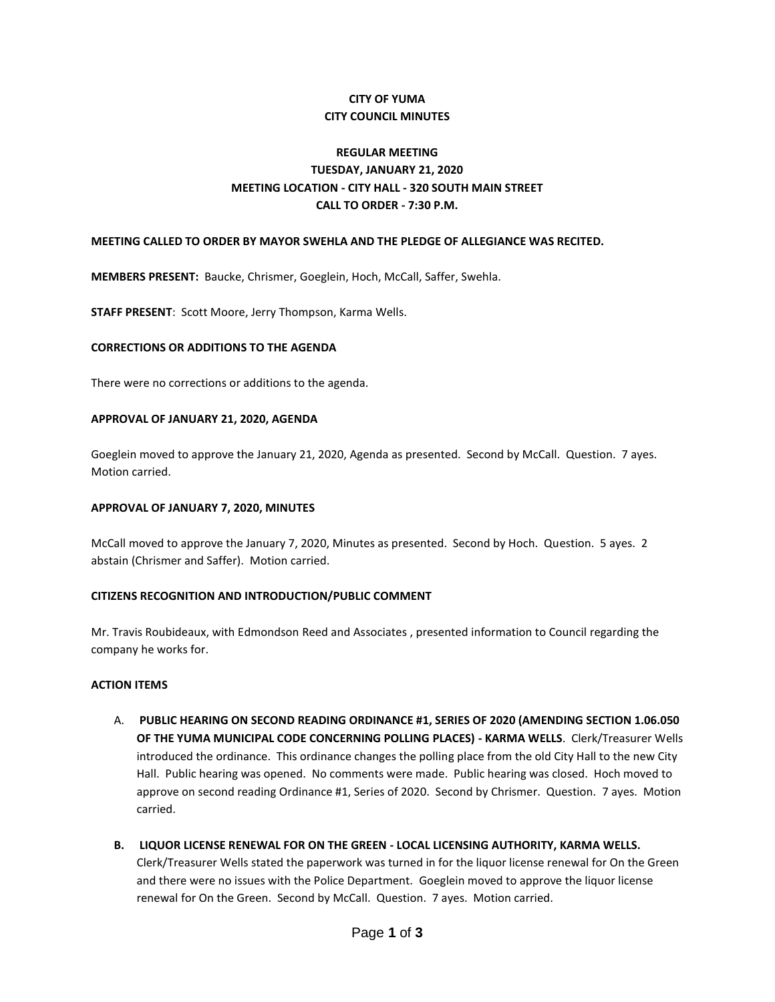## **CITY OF YUMA CITY COUNCIL MINUTES**

# **REGULAR MEETING TUESDAY, JANUARY 21, 2020 MEETING LOCATION - CITY HALL - 320 SOUTH MAIN STREET CALL TO ORDER - 7:30 P.M.**

### **MEETING CALLED TO ORDER BY MAYOR SWEHLA AND THE PLEDGE OF ALLEGIANCE WAS RECITED.**

**MEMBERS PRESENT:** Baucke, Chrismer, Goeglein, Hoch, McCall, Saffer, Swehla.

**STAFF PRESENT**: Scott Moore, Jerry Thompson, Karma Wells.

### **CORRECTIONS OR ADDITIONS TO THE AGENDA**

There were no corrections or additions to the agenda.

### **APPROVAL OF JANUARY 21, 2020, AGENDA**

Goeglein moved to approve the January 21, 2020, Agenda as presented. Second by McCall. Question. 7 ayes. Motion carried.

### **APPROVAL OF JANUARY 7, 2020, MINUTES**

McCall moved to approve the January 7, 2020, Minutes as presented. Second by Hoch. Question. 5 ayes. 2 abstain (Chrismer and Saffer). Motion carried.

### **CITIZENS RECOGNITION AND INTRODUCTION/PUBLIC COMMENT**

Mr. Travis Roubideaux, with Edmondson Reed and Associates , presented information to Council regarding the company he works for.

### **ACTION ITEMS**

- A. **PUBLIC HEARING ON SECOND READING ORDINANCE #1, SERIES OF 2020 (AMENDING SECTION 1.06.050 OF THE YUMA MUNICIPAL CODE CONCERNING POLLING PLACES) - KARMA WELLS**. Clerk/Treasurer Wells introduced the ordinance. This ordinance changes the polling place from the old City Hall to the new City Hall. Public hearing was opened. No comments were made. Public hearing was closed. Hoch moved to approve on second reading Ordinance #1, Series of 2020. Second by Chrismer. Question. 7 ayes. Motion carried.
- **B. LIQUOR LICENSE RENEWAL FOR ON THE GREEN - LOCAL LICENSING AUTHORITY, KARMA WELLS.**  Clerk/Treasurer Wells stated the paperwork was turned in for the liquor license renewal for On the Green and there were no issues with the Police Department. Goeglein moved to approve the liquor license renewal for On the Green. Second by McCall. Question. 7 ayes. Motion carried.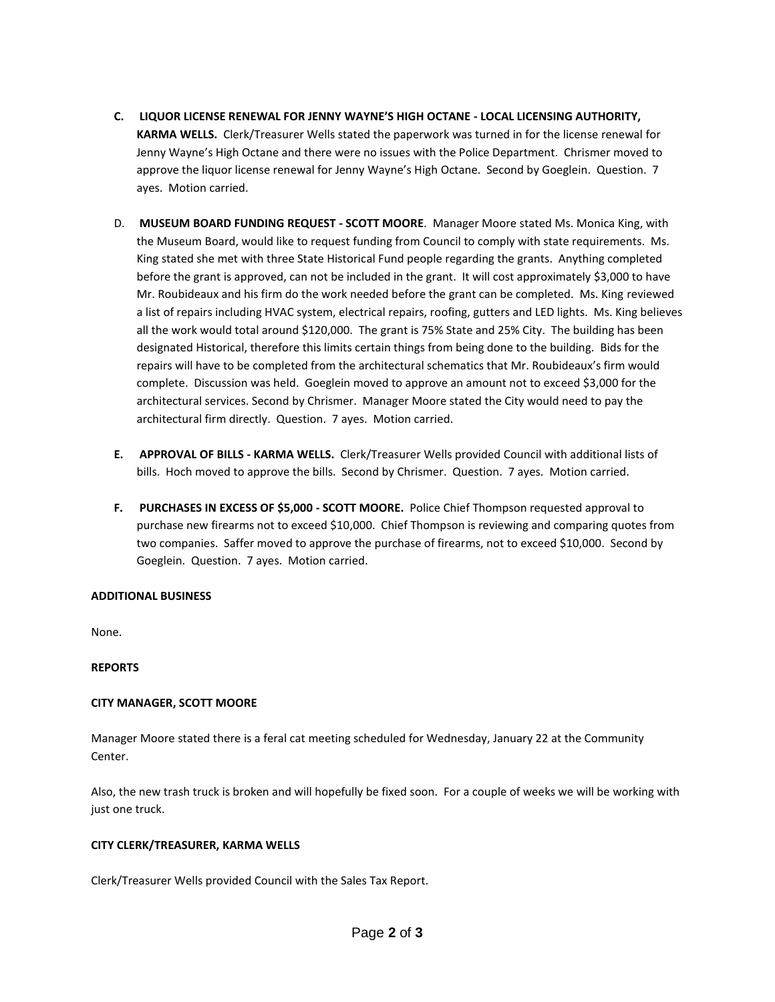- **C. LIQUOR LICENSE RENEWAL FOR JENNY WAYNE'S HIGH OCTANE - LOCAL LICENSING AUTHORITY, KARMA WELLS.** Clerk/Treasurer Wells stated the paperwork was turned in for the license renewal for Jenny Wayne's High Octane and there were no issues with the Police Department. Chrismer moved to approve the liquor license renewal for Jenny Wayne's High Octane. Second by Goeglein. Question. 7 ayes. Motion carried.
- D. **MUSEUM BOARD FUNDING REQUEST - SCOTT MOORE**. Manager Moore stated Ms. Monica King, with the Museum Board, would like to request funding from Council to comply with state requirements. Ms. King stated she met with three State Historical Fund people regarding the grants. Anything completed before the grant is approved, can not be included in the grant. It will cost approximately \$3,000 to have Mr. Roubideaux and his firm do the work needed before the grant can be completed. Ms. King reviewed a list of repairs including HVAC system, electrical repairs, roofing, gutters and LED lights. Ms. King believes all the work would total around \$120,000. The grant is 75% State and 25% City. The building has been designated Historical, therefore this limits certain things from being done to the building. Bids for the repairs will have to be completed from the architectural schematics that Mr. Roubideaux's firm would complete. Discussion was held. Goeglein moved to approve an amount not to exceed \$3,000 for the architectural services. Second by Chrismer. Manager Moore stated the City would need to pay the architectural firm directly. Question. 7 ayes. Motion carried.
- **E. APPROVAL OF BILLS - KARMA WELLS.** Clerk/Treasurer Wells provided Council with additional lists of bills. Hoch moved to approve the bills. Second by Chrismer. Question. 7 ayes. Motion carried.
- **F. PURCHASES IN EXCESS OF \$5,000 - SCOTT MOORE.** Police Chief Thompson requested approval to purchase new firearms not to exceed \$10,000. Chief Thompson is reviewing and comparing quotes from two companies. Saffer moved to approve the purchase of firearms, not to exceed \$10,000. Second by Goeglein. Question. 7 ayes. Motion carried.

## **ADDITIONAL BUSINESS**

None.

### **REPORTS**

## **CITY MANAGER, SCOTT MOORE**

Manager Moore stated there is a feral cat meeting scheduled for Wednesday, January 22 at the Community Center.

Also, the new trash truck is broken and will hopefully be fixed soon. For a couple of weeks we will be working with just one truck.

### **CITY CLERK/TREASURER, KARMA WELLS**

Clerk/Treasurer Wells provided Council with the Sales Tax Report.